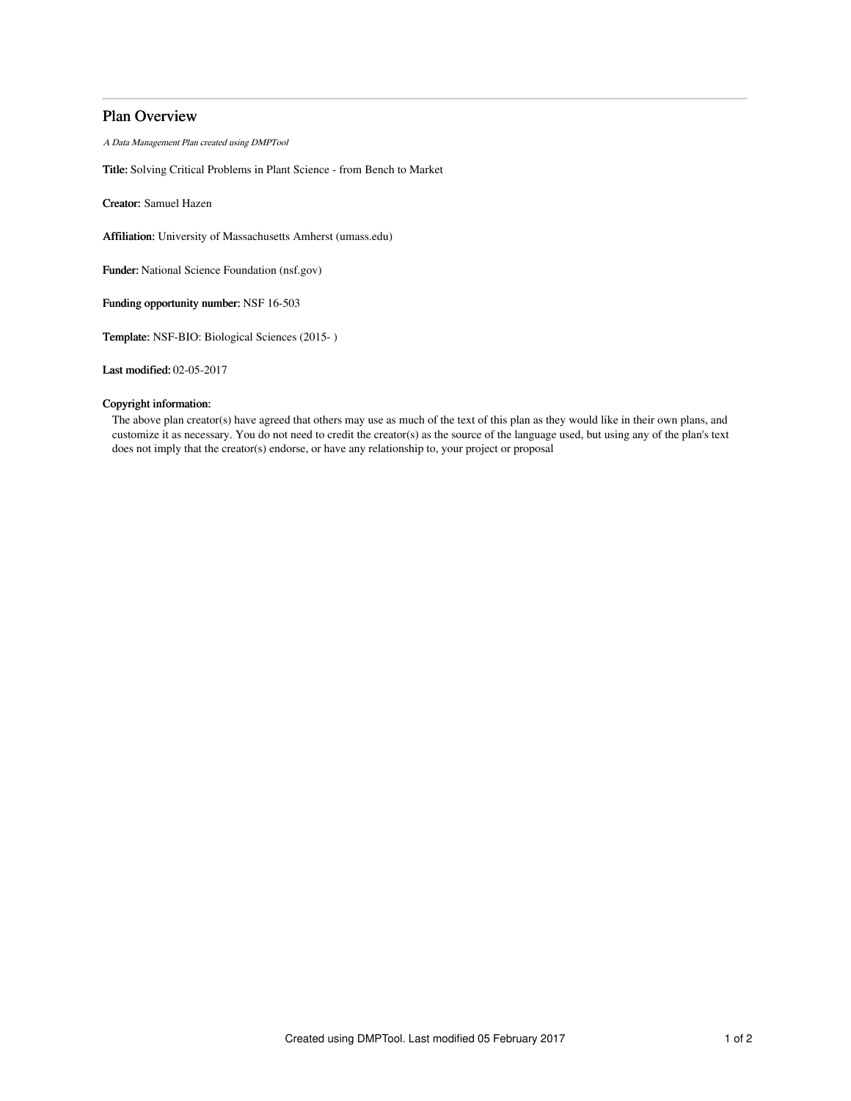# Plan Overview

A Data Management Plan created using DMPTool

Title: Solving Critical Problems in Plant Science - from Bench to Market

Creator: Samuel Hazen

Affiliation: University of Massachusetts Amherst (umass.edu)

Funder: National Science Foundation (nsf.gov)

Funding opportunity number: NSF 16-503

Template: NSF-BIO: Biological Sciences (2015- )

Last modified: 02-05-2017

## Copyright information:

The above plan creator(s) have agreed that others may use as much of the text of this plan as they would like in their own plans, and customize it as necessary. You do not need to credit the creator(s) as the source of the language used, but using any of the plan's text does not imply that the creator(s) endorse, or have any relationship to, your project or proposal